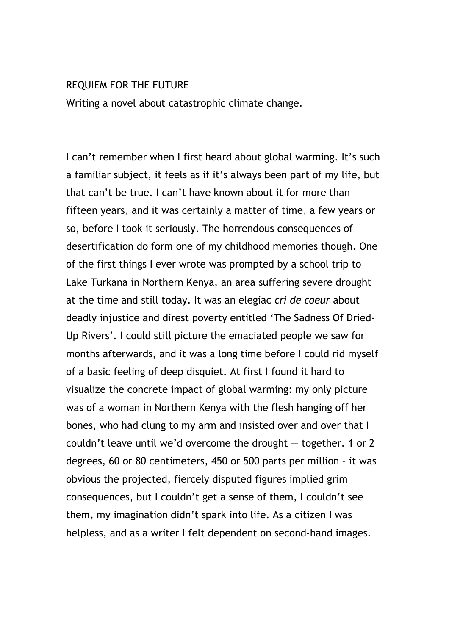## REQUIEM FOR THE FUTURE

Writing a novel about catastrophic climate change.

I can't remember when I first heard about global warming. It's such a familiar subject, it feels as if it's always been part of my life, but that can't be true. I can't have known about it for more than fifteen years, and it was certainly a matter of time, a few years or so, before I took it seriously. The horrendous consequences of desertification do form one of my childhood memories though. One of the first things I ever wrote was prompted by a school trip to Lake Turkana in Northern Kenya, an area suffering severe drought at the time and still today. It was an elegiac cri de coeur about deadly injustice and direst poverty entitled 'The Sadness Of Dried-Up Rivers'. I could still picture the emaciated people we saw for months afterwards, and it was a long time before I could rid myself of a basic feeling of deep disquiet. At first I found it hard to visualize the concrete impact of global warming: my only picture was of a woman in Northern Kenya with the flesh hanging off her bones, who had clung to my arm and insisted over and over that I couldn't leave until we'd overcome the drought — together. 1 or 2 degrees, 60 or 80 centimeters, 450 or 500 parts per million – it was obvious the projected, fiercely disputed figures implied grim consequences, but I couldn't get a sense of them, I couldn't see them, my imagination didn't spark into life. As a citizen I was helpless, and as a writer I felt dependent on second-hand images.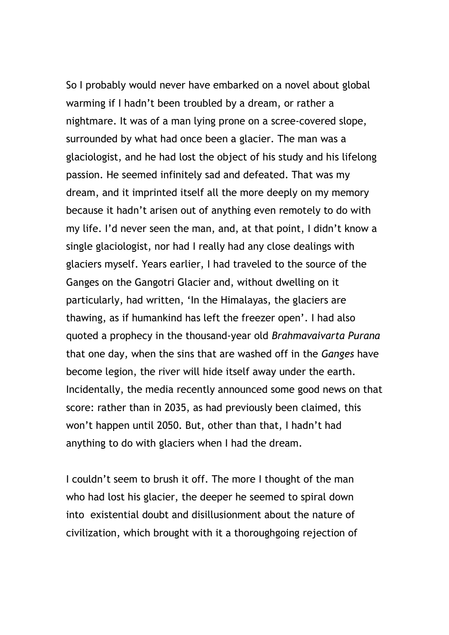So I probably would never have embarked on a novel about global warming if I hadn't been troubled by a dream, or rather a nightmare. It was of a man lying prone on a scree-covered slope, surrounded by what had once been a glacier. The man was a glaciologist, and he had lost the object of his study and his lifelong passion. He seemed infinitely sad and defeated. That was my dream, and it imprinted itself all the more deeply on my memory because it hadn't arisen out of anything even remotely to do with my life. I'd never seen the man, and, at that point, I didn't know a single glaciologist, nor had I really had any close dealings with glaciers myself. Years earlier, I had traveled to the source of the Ganges on the Gangotri Glacier and, without dwelling on it particularly, had written, 'In the Himalayas, the glaciers are thawing, as if humankind has left the freezer open'. I had also quoted a prophecy in the thousand-year old Brahmavaivarta Purana that one day, when the sins that are washed off in the Ganges have become legion, the river will hide itself away under the earth. Incidentally, the media recently announced some good news on that score: rather than in 2035, as had previously been claimed, this won't happen until 2050. But, other than that, I hadn't had anything to do with glaciers when I had the dream.

I couldn't seem to brush it off. The more I thought of the man who had lost his glacier, the deeper he seemed to spiral down into existential doubt and disillusionment about the nature of civilization, which brought with it a thoroughgoing rejection of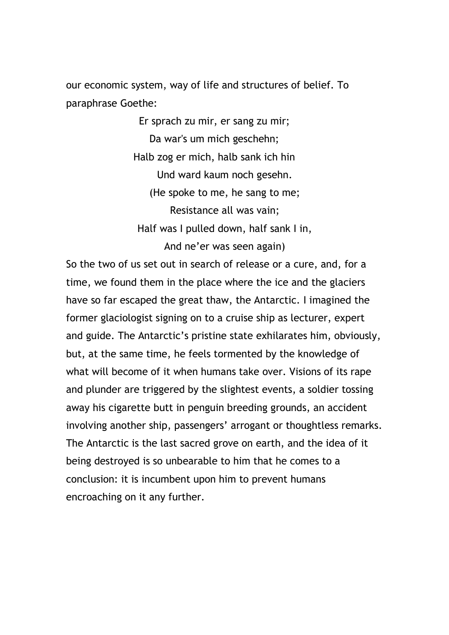our economic system, way of life and structures of belief. To paraphrase Goethe:

> Er sprach zu mir, er sang zu mir; Da war's um mich geschehn; Halb zog er mich, halb sank ich hin Und ward kaum noch gesehn. (He spoke to me, he sang to me; Resistance all was vain; Half was I pulled down, half sank I in, And ne'er was seen again)

So the two of us set out in search of release or a cure, and, for a time, we found them in the place where the ice and the glaciers have so far escaped the great thaw, the Antarctic. I imagined the former glaciologist signing on to a cruise ship as lecturer, expert and guide. The Antarctic's pristine state exhilarates him, obviously, but, at the same time, he feels tormented by the knowledge of what will become of it when humans take over. Visions of its rape and plunder are triggered by the slightest events, a soldier tossing away his cigarette butt in penguin breeding grounds, an accident involving another ship, passengers' arrogant or thoughtless remarks. The Antarctic is the last sacred grove on earth, and the idea of it being destroyed is so unbearable to him that he comes to a conclusion: it is incumbent upon him to prevent humans encroaching on it any further.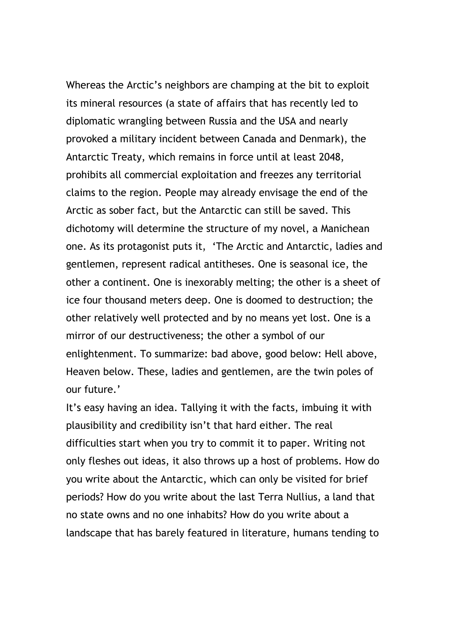Whereas the Arctic's neighbors are champing at the bit to exploit its mineral resources (a state of affairs that has recently led to diplomatic wrangling between Russia and the USA and nearly provoked a military incident between Canada and Denmark), the Antarctic Treaty, which remains in force until at least 2048, prohibits all commercial exploitation and freezes any territorial claims to the region. People may already envisage the end of the Arctic as sober fact, but the Antarctic can still be saved. This dichotomy will determine the structure of my novel, a Manichean one. As its protagonist puts it, 'The Arctic and Antarctic, ladies and gentlemen, represent radical antitheses. One is seasonal ice, the other a continent. One is inexorably melting; the other is a sheet of ice four thousand meters deep. One is doomed to destruction; the other relatively well protected and by no means yet lost. One is a mirror of our destructiveness; the other a symbol of our enlightenment. To summarize: bad above, good below: Hell above, Heaven below. These, ladies and gentlemen, are the twin poles of our future.'

It's easy having an idea. Tallying it with the facts, imbuing it with plausibility and credibility isn't that hard either. The real difficulties start when you try to commit it to paper. Writing not only fleshes out ideas, it also throws up a host of problems. How do you write about the Antarctic, which can only be visited for brief periods? How do you write about the last Terra Nullius, a land that no state owns and no one inhabits? How do you write about a landscape that has barely featured in literature, humans tending to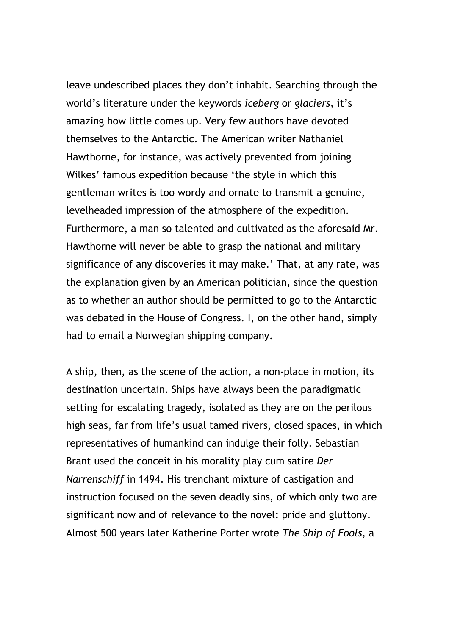leave undescribed places they don't inhabit. Searching through the world's literature under the keywords iceberg or glaciers, it's amazing how little comes up. Very few authors have devoted themselves to the Antarctic. The American writer Nathaniel Hawthorne, for instance, was actively prevented from joining Wilkes' famous expedition because 'the style in which this gentleman writes is too wordy and ornate to transmit a genuine, levelheaded impression of the atmosphere of the expedition. Furthermore, a man so talented and cultivated as the aforesaid Mr. Hawthorne will never be able to grasp the national and military significance of any discoveries it may make.' That, at any rate, was the explanation given by an American politician, since the question as to whether an author should be permitted to go to the Antarctic was debated in the House of Congress. I, on the other hand, simply had to email a Norwegian shipping company.

A ship, then, as the scene of the action, a non-place in motion, its destination uncertain. Ships have always been the paradigmatic setting for escalating tragedy, isolated as they are on the perilous high seas, far from life's usual tamed rivers, closed spaces, in which representatives of humankind can indulge their folly. Sebastian Brant used the conceit in his morality play cum satire Der Narrenschiff in 1494. His trenchant mixture of castigation and instruction focused on the seven deadly sins, of which only two are significant now and of relevance to the novel: pride and gluttony. Almost 500 years later Katherine Porter wrote The Ship of Fools, a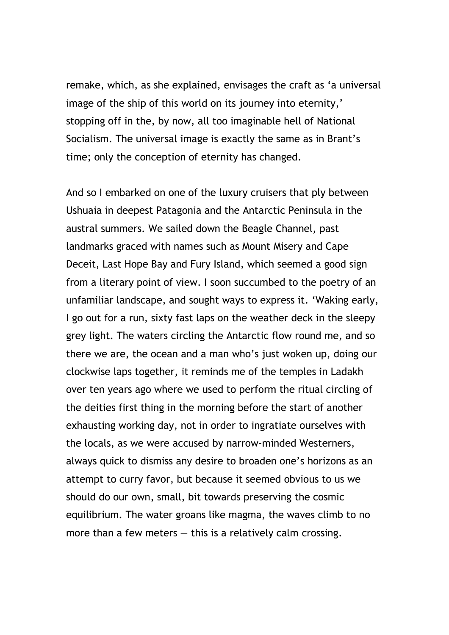remake, which, as she explained, envisages the craft as 'a universal image of the ship of this world on its journey into eternity,' stopping off in the, by now, all too imaginable hell of National Socialism. The universal image is exactly the same as in Brant's time; only the conception of eternity has changed.

And so I embarked on one of the luxury cruisers that ply between Ushuaia in deepest Patagonia and the Antarctic Peninsula in the austral summers. We sailed down the Beagle Channel, past landmarks graced with names such as Mount Misery and Cape Deceit, Last Hope Bay and Fury Island, which seemed a good sign from a literary point of view. I soon succumbed to the poetry of an unfamiliar landscape, and sought ways to express it. 'Waking early, I go out for a run, sixty fast laps on the weather deck in the sleepy grey light. The waters circling the Antarctic flow round me, and so there we are, the ocean and a man who's just woken up, doing our clockwise laps together, it reminds me of the temples in Ladakh over ten years ago where we used to perform the ritual circling of the deities first thing in the morning before the start of another exhausting working day, not in order to ingratiate ourselves with the locals, as we were accused by narrow-minded Westerners, always quick to dismiss any desire to broaden one's horizons as an attempt to curry favor, but because it seemed obvious to us we should do our own, small, bit towards preserving the cosmic equilibrium. The water groans like magma, the waves climb to no more than a few meters  $-$  this is a relatively calm crossing.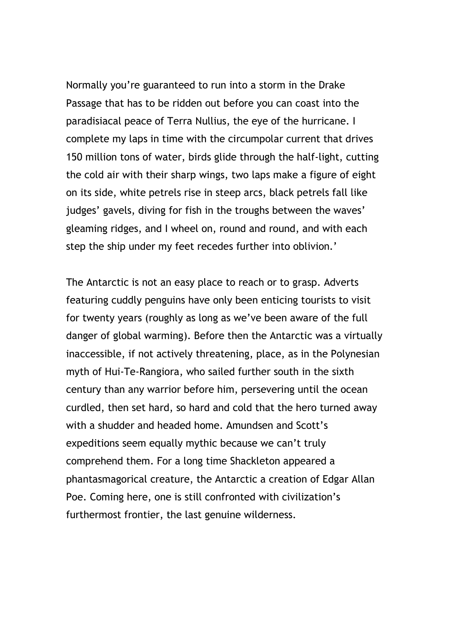Normally you're guaranteed to run into a storm in the Drake Passage that has to be ridden out before you can coast into the paradisiacal peace of Terra Nullius, the eye of the hurricane. I complete my laps in time with the circumpolar current that drives 150 million tons of water, birds glide through the half-light, cutting the cold air with their sharp wings, two laps make a figure of eight on its side, white petrels rise in steep arcs, black petrels fall like judges' gavels, diving for fish in the troughs between the waves' gleaming ridges, and I wheel on, round and round, and with each step the ship under my feet recedes further into oblivion.'

The Antarctic is not an easy place to reach or to grasp. Adverts featuring cuddly penguins have only been enticing tourists to visit for twenty years (roughly as long as we've been aware of the full danger of global warming). Before then the Antarctic was a virtually inaccessible, if not actively threatening, place, as in the Polynesian myth of Hui-Te-Rangiora, who sailed further south in the sixth century than any warrior before him, persevering until the ocean curdled, then set hard, so hard and cold that the hero turned away with a shudder and headed home. Amundsen and Scott's expeditions seem equally mythic because we can't truly comprehend them. For a long time Shackleton appeared a phantasmagorical creature, the Antarctic a creation of Edgar Allan Poe. Coming here, one is still confronted with civilization's furthermost frontier, the last genuine wilderness.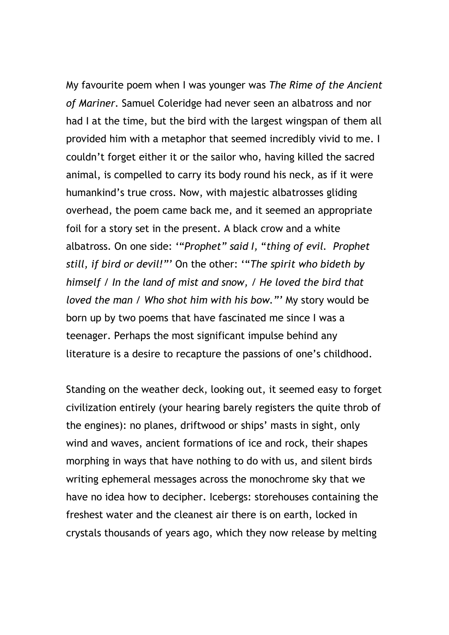My favourite poem when I was younger was The Rime of the Ancient of Mariner. Samuel Coleridge had never seen an albatross and nor had I at the time, but the bird with the largest wingspan of them all provided him with a metaphor that seemed incredibly vivid to me. I couldn't forget either it or the sailor who, having killed the sacred animal, is compelled to carry its body round his neck, as if it were humankind's true cross. Now, with majestic albatrosses gliding overhead, the poem came back me, and it seemed an appropriate foil for a story set in the present. A black crow and a white albatross. On one side: '"Prophet" said I, "thing of evil. Prophet still, if bird or devil!"' On the other: '"The spirit who bideth by himself / In the land of mist and snow, / He loved the bird that loved the man / Who shot him with his bow."' My story would be born up by two poems that have fascinated me since I was a teenager. Perhaps the most significant impulse behind any literature is a desire to recapture the passions of one's childhood.

Standing on the weather deck, looking out, it seemed easy to forget civilization entirely (your hearing barely registers the quite throb of the engines): no planes, driftwood or ships' masts in sight, only wind and waves, ancient formations of ice and rock, their shapes morphing in ways that have nothing to do with us, and silent birds writing ephemeral messages across the monochrome sky that we have no idea how to decipher. Icebergs: storehouses containing the freshest water and the cleanest air there is on earth, locked in crystals thousands of years ago, which they now release by melting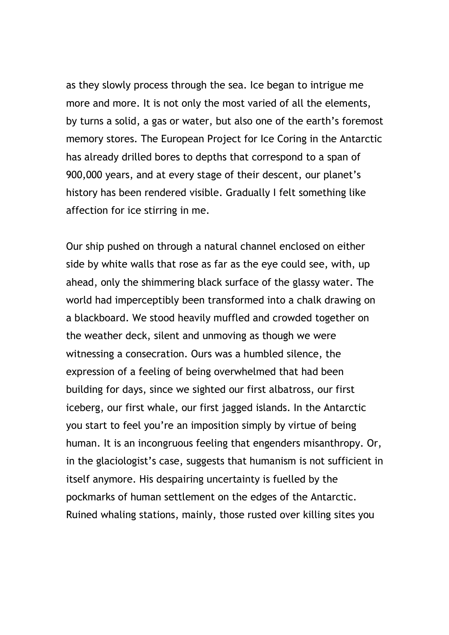as they slowly process through the sea. Ice began to intrigue me more and more. It is not only the most varied of all the elements, by turns a solid, a gas or water, but also one of the earth's foremost memory stores. The European Project for Ice Coring in the Antarctic has already drilled bores to depths that correspond to a span of 900,000 years, and at every stage of their descent, our planet's history has been rendered visible. Gradually I felt something like affection for ice stirring in me.

Our ship pushed on through a natural channel enclosed on either side by white walls that rose as far as the eye could see, with, up ahead, only the shimmering black surface of the glassy water. The world had imperceptibly been transformed into a chalk drawing on a blackboard. We stood heavily muffled and crowded together on the weather deck, silent and unmoving as though we were witnessing a consecration. Ours was a humbled silence, the expression of a feeling of being overwhelmed that had been building for days, since we sighted our first albatross, our first iceberg, our first whale, our first jagged islands. In the Antarctic you start to feel you're an imposition simply by virtue of being human. It is an incongruous feeling that engenders misanthropy. Or, in the glaciologist's case, suggests that humanism is not sufficient in itself anymore. His despairing uncertainty is fuelled by the pockmarks of human settlement on the edges of the Antarctic. Ruined whaling stations, mainly, those rusted over killing sites you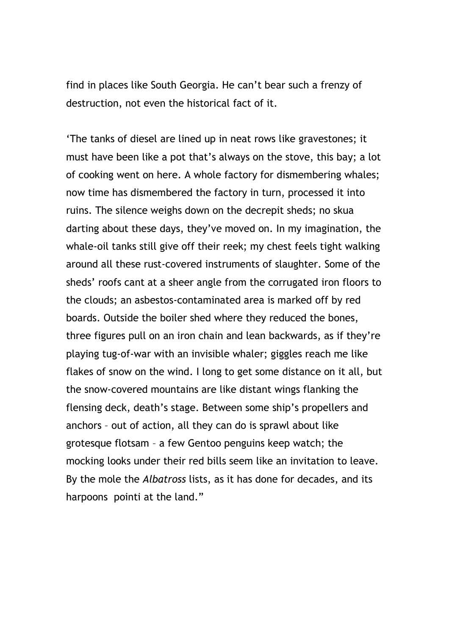find in places like South Georgia. He can't bear such a frenzy of destruction, not even the historical fact of it.

'The tanks of diesel are lined up in neat rows like gravestones; it must have been like a pot that's always on the stove, this bay; a lot of cooking went on here. A whole factory for dismembering whales; now time has dismembered the factory in turn, processed it into ruins. The silence weighs down on the decrepit sheds; no skua darting about these days, they've moved on. In my imagination, the whale-oil tanks still give off their reek; my chest feels tight walking around all these rust-covered instruments of slaughter. Some of the sheds' roofs cant at a sheer angle from the corrugated iron floors to the clouds; an asbestos-contaminated area is marked off by red boards. Outside the boiler shed where they reduced the bones, three figures pull on an iron chain and lean backwards, as if they're playing tug-of-war with an invisible whaler; giggles reach me like flakes of snow on the wind. I long to get some distance on it all, but the snow-covered mountains are like distant wings flanking the flensing deck, death's stage. Between some ship's propellers and anchors – out of action, all they can do is sprawl about like grotesque flotsam – a few Gentoo penguins keep watch; the mocking looks under their red bills seem like an invitation to leave. By the mole the *Albatross* lists, as it has done for decades, and its harpoons pointi at the land."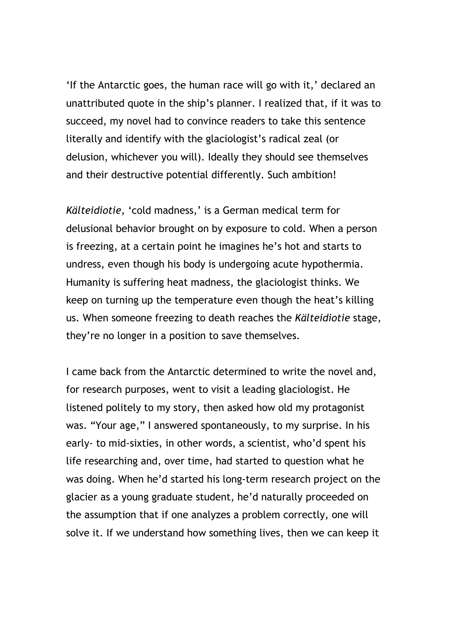'If the Antarctic goes, the human race will go with it,' declared an unattributed quote in the ship's planner. I realized that, if it was to succeed, my novel had to convince readers to take this sentence literally and identify with the glaciologist's radical zeal (or delusion, whichever you will). Ideally they should see themselves and their destructive potential differently. Such ambition!

Kälteidiotie, 'cold madness,' is a German medical term for delusional behavior brought on by exposure to cold. When a person is freezing, at a certain point he imagines he's hot and starts to undress, even though his body is undergoing acute hypothermia. Humanity is suffering heat madness, the glaciologist thinks. We keep on turning up the temperature even though the heat's killing us. When someone freezing to death reaches the Kälteidiotie stage, they're no longer in a position to save themselves.

I came back from the Antarctic determined to write the novel and, for research purposes, went to visit a leading glaciologist. He listened politely to my story, then asked how old my protagonist was. "Your age," I answered spontaneously, to my surprise. In his early- to mid-sixties, in other words, a scientist, who'd spent his life researching and, over time, had started to question what he was doing. When he'd started his long-term research project on the glacier as a young graduate student, he'd naturally proceeded on the assumption that if one analyzes a problem correctly, one will solve it. If we understand how something lives, then we can keep it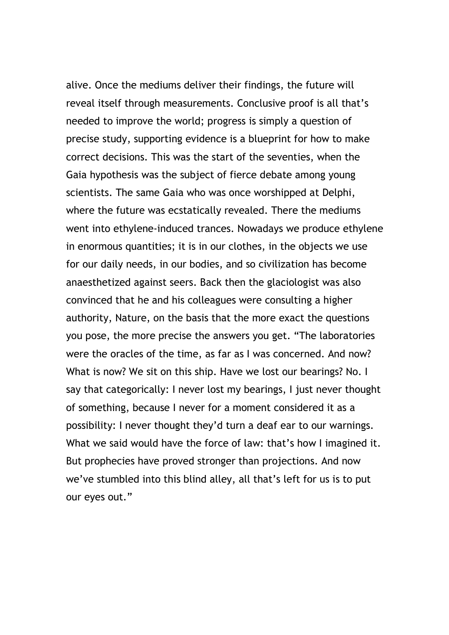alive. Once the mediums deliver their findings, the future will reveal itself through measurements. Conclusive proof is all that's needed to improve the world; progress is simply a question of precise study, supporting evidence is a blueprint for how to make correct decisions. This was the start of the seventies, when the Gaia hypothesis was the subject of fierce debate among young scientists. The same Gaia who was once worshipped at Delphi, where the future was ecstatically revealed. There the mediums went into ethylene-induced trances. Nowadays we produce ethylene in enormous quantities; it is in our clothes, in the objects we use for our daily needs, in our bodies, and so civilization has become anaesthetized against seers. Back then the glaciologist was also convinced that he and his colleagues were consulting a higher authority, Nature, on the basis that the more exact the questions you pose, the more precise the answers you get. "The laboratories were the oracles of the time, as far as I was concerned. And now? What is now? We sit on this ship. Have we lost our bearings? No. I say that categorically: I never lost my bearings, I just never thought of something, because I never for a moment considered it as a possibility: I never thought they'd turn a deaf ear to our warnings. What we said would have the force of law: that's how I imagined it. But prophecies have proved stronger than projections. And now we've stumbled into this blind alley, all that's left for us is to put our eyes out."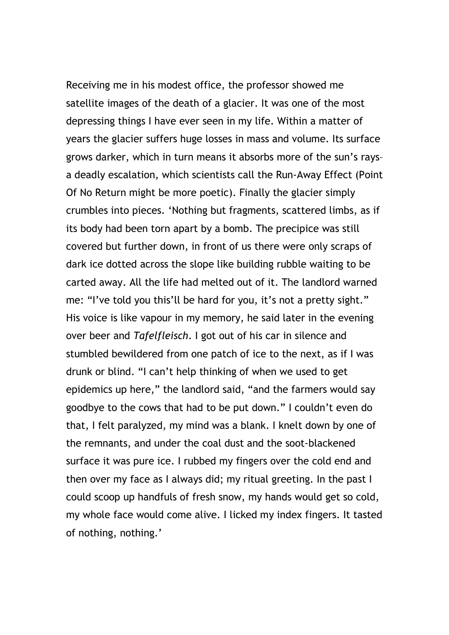Receiving me in his modest office, the professor showed me satellite images of the death of a glacier. It was one of the most depressing things I have ever seen in my life. Within a matter of years the glacier suffers huge losses in mass and volume. Its surface grows darker, which in turn means it absorbs more of the sun's rays– a deadly escalation, which scientists call the Run-Away Effect (Point Of No Return might be more poetic). Finally the glacier simply crumbles into pieces. 'Nothing but fragments, scattered limbs, as if its body had been torn apart by a bomb. The precipice was still covered but further down, in front of us there were only scraps of dark ice dotted across the slope like building rubble waiting to be carted away. All the life had melted out of it. The landlord warned me: "I've told you this'll be hard for you, it's not a pretty sight." His voice is like vapour in my memory, he said later in the evening over beer and Tafelfleisch. I got out of his car in silence and stumbled bewildered from one patch of ice to the next, as if I was drunk or blind. "I can't help thinking of when we used to get epidemics up here," the landlord said, "and the farmers would say goodbye to the cows that had to be put down." I couldn't even do that, I felt paralyzed, my mind was a blank. I knelt down by one of the remnants, and under the coal dust and the soot-blackened surface it was pure ice. I rubbed my fingers over the cold end and then over my face as I always did; my ritual greeting. In the past I could scoop up handfuls of fresh snow, my hands would get so cold, my whole face would come alive. I licked my index fingers. It tasted of nothing, nothing.'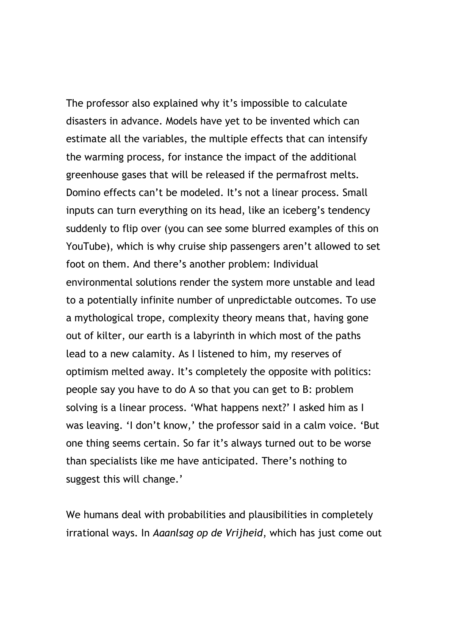The professor also explained why it's impossible to calculate disasters in advance. Models have yet to be invented which can estimate all the variables, the multiple effects that can intensify the warming process, for instance the impact of the additional greenhouse gases that will be released if the permafrost melts. Domino effects can't be modeled. It's not a linear process. Small inputs can turn everything on its head, like an iceberg's tendency suddenly to flip over (you can see some blurred examples of this on YouTube), which is why cruise ship passengers aren't allowed to set foot on them. And there's another problem: Individual environmental solutions render the system more unstable and lead to a potentially infinite number of unpredictable outcomes. To use a mythological trope, complexity theory means that, having gone out of kilter, our earth is a labyrinth in which most of the paths lead to a new calamity. As I listened to him, my reserves of optimism melted away. It's completely the opposite with politics: people say you have to do A so that you can get to B: problem solving is a linear process. 'What happens next?' I asked him as I was leaving. 'I don't know,' the professor said in a calm voice. 'But one thing seems certain. So far it's always turned out to be worse than specialists like me have anticipated. There's nothing to suggest this will change.'

We humans deal with probabilities and plausibilities in completely irrational ways. In Aaanlsag op de Vrijheid, which has just come out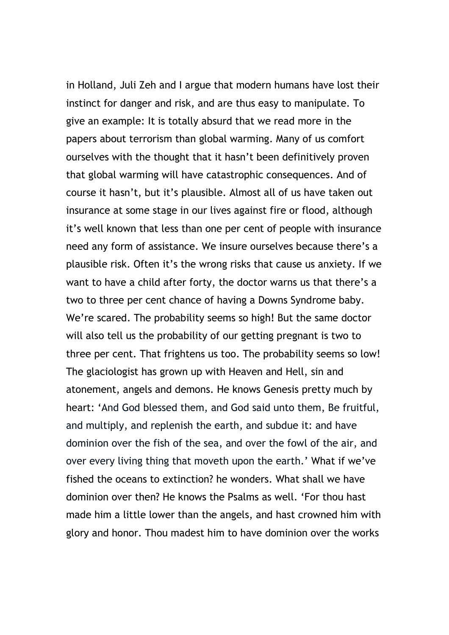in Holland, Juli Zeh and I argue that modern humans have lost their instinct for danger and risk, and are thus easy to manipulate. To give an example: It is totally absurd that we read more in the papers about terrorism than global warming. Many of us comfort ourselves with the thought that it hasn't been definitively proven that global warming will have catastrophic consequences. And of course it hasn't, but it's plausible. Almost all of us have taken out insurance at some stage in our lives against fire or flood, although it's well known that less than one per cent of people with insurance need any form of assistance. We insure ourselves because there's a plausible risk. Often it's the wrong risks that cause us anxiety. If we want to have a child after forty, the doctor warns us that there's a two to three per cent chance of having a Downs Syndrome baby. We're scared. The probability seems so high! But the same doctor will also tell us the probability of our getting pregnant is two to three per cent. That frightens us too. The probability seems so low! The glaciologist has grown up with Heaven and Hell, sin and atonement, angels and demons. He knows Genesis pretty much by heart: 'And God blessed them, and God said unto them, Be fruitful, and multiply, and replenish the earth, and subdue it: and have dominion over the fish of the sea, and over the fowl of the air, and over every living thing that moveth upon the earth.' What if we've fished the oceans to extinction? he wonders. What shall we have dominion over then? He knows the Psalms as well. 'For thou hast made him a little lower than the angels, and hast crowned him with glory and honor. Thou madest him to have dominion over the works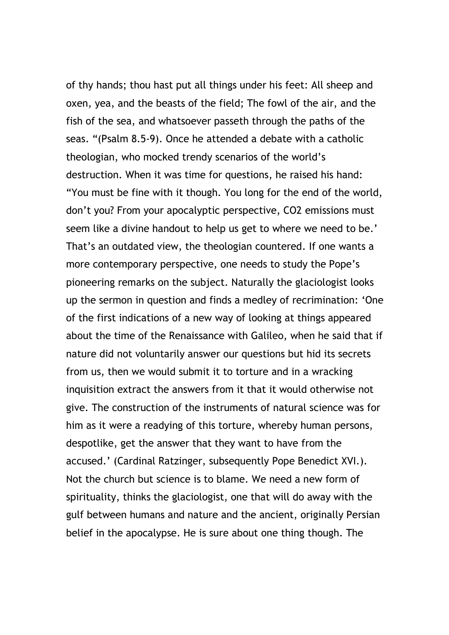of thy hands; thou hast put all things under his feet: All sheep and oxen, yea, and the beasts of the field; The fowl of the air, and the fish of the sea, and whatsoever passeth through the paths of the seas. "(Psalm 8.5-9). Once he attended a debate with a catholic theologian, who mocked trendy scenarios of the world's destruction. When it was time for questions, he raised his hand: "You must be fine with it though. You long for the end of the world, don't you? From your apocalyptic perspective, CO2 emissions must seem like a divine handout to help us get to where we need to be.' That's an outdated view, the theologian countered. If one wants a more contemporary perspective, one needs to study the Pope's pioneering remarks on the subject. Naturally the glaciologist looks up the sermon in question and finds a medley of recrimination: 'One of the first indications of a new way of looking at things appeared about the time of the Renaissance with Galileo, when he said that if nature did not voluntarily answer our questions but hid its secrets from us, then we would submit it to torture and in a wracking inquisition extract the answers from it that it would otherwise not give. The construction of the instruments of natural science was for him as it were a readying of this torture, whereby human persons, despotlike, get the answer that they want to have from the accused.' (Cardinal Ratzinger, subsequently Pope Benedict XVI.). Not the church but science is to blame. We need a new form of spirituality, thinks the glaciologist, one that will do away with the gulf between humans and nature and the ancient, originally Persian belief in the apocalypse. He is sure about one thing though. The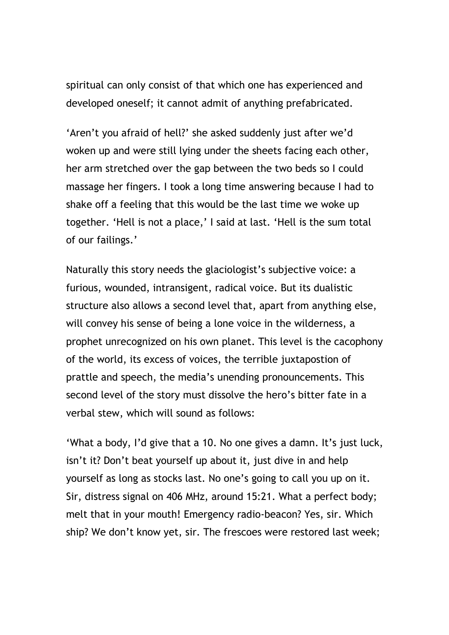spiritual can only consist of that which one has experienced and developed oneself; it cannot admit of anything prefabricated.

'Aren't you afraid of hell?' she asked suddenly just after we'd woken up and were still lying under the sheets facing each other, her arm stretched over the gap between the two beds so I could massage her fingers. I took a long time answering because I had to shake off a feeling that this would be the last time we woke up together. 'Hell is not a place,' I said at last. 'Hell is the sum total of our failings.'

Naturally this story needs the glaciologist's subjective voice: a furious, wounded, intransigent, radical voice. But its dualistic structure also allows a second level that, apart from anything else, will convey his sense of being a lone voice in the wilderness, a prophet unrecognized on his own planet. This level is the cacophony of the world, its excess of voices, the terrible juxtapostion of prattle and speech, the media's unending pronouncements. This second level of the story must dissolve the hero's bitter fate in a verbal stew, which will sound as follows:

'What a body, I'd give that a 10. No one gives a damn. It's just luck, isn't it? Don't beat yourself up about it, just dive in and help yourself as long as stocks last. No one's going to call you up on it. Sir, distress signal on 406 MHz, around 15:21. What a perfect body; melt that in your mouth! Emergency radio-beacon? Yes, sir. Which ship? We don't know yet, sir. The frescoes were restored last week;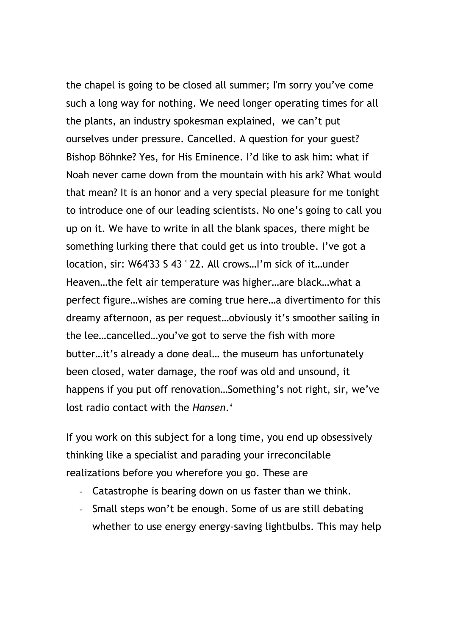the chapel is going to be closed all summer; I'm sorry you've come such a long way for nothing. We need longer operating times for all the plants, an industry spokesman explained, we can't put ourselves under pressure. Cancelled. A question for your guest? Bishop Böhnke? Yes, for His Eminence. I'd like to ask him: what if Noah never came down from the mountain with his ark? What would that mean? It is an honor and a very special pleasure for me tonight to introduce one of our leading scientists. No one's going to call you up on it. We have to write in all the blank spaces, there might be something lurking there that could get us into trouble. I've got a location, sir: W64'33 S 43 ' 22. All crows…I'm sick of it…under Heaven…the felt air temperature was higher…are black…what a perfect figure…wishes are coming true here…a divertimento for this dreamy afternoon, as per request…obviously it's smoother sailing in the lee…cancelled…you've got to serve the fish with more butter…it's already a done deal… the museum has unfortunately been closed, water damage, the roof was old and unsound, it happens if you put off renovation…Something's not right, sir, we've lost radio contact with the Hansen.'

If you work on this subject for a long time, you end up obsessively thinking like a specialist and parading your irreconcilable realizations before you wherefore you go. These are

- Catastrophe is bearing down on us faster than we think.
- Small steps won't be enough. Some of us are still debating whether to use energy energy-saving lightbulbs. This may help